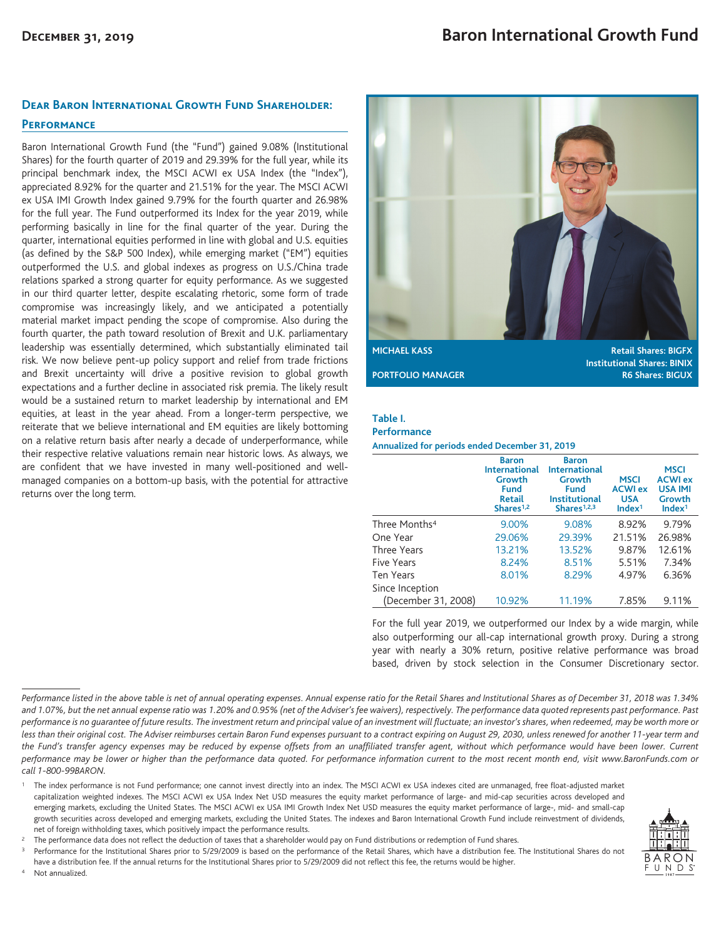## **Dear Baron International Growth Fund Shareholder:**

### **Performance**

Baron International Growth Fund (the "Fund") gained 9.08% (Institutional Shares) for the fourth quarter of 2019 and 29.39% for the full year, while its principal benchmark index, the MSCI ACWI ex USA Index (the "Index"), appreciated 8.92% for the quarter and 21.51% for the year. The MSCI ACWI ex USA IMI Growth Index gained 9.79% for the fourth quarter and 26.98% for the full year. The Fund outperformed its Index for the year 2019, while performing basically in line for the final quarter of the year. During the quarter, international equities performed in line with global and U.S. equities (as defined by the S&P 500 Index), while emerging market ("EM") equities outperformed the U.S. and global indexes as progress on U.S./China trade relations sparked a strong quarter for equity performance. As we suggested in our third quarter letter, despite escalating rhetoric, some form of trade compromise was increasingly likely, and we anticipated a potentially material market impact pending the scope of compromise. Also during the fourth quarter, the path toward resolution of Brexit and U.K. parliamentary leadership was essentially determined, which substantially eliminated tail risk. We now believe pent-up policy support and relief from trade frictions and Brexit uncertainty will drive a positive revision to global growth expectations and a further decline in associated risk premia. The likely result would be a sustained return to market leadership by international and EM equities, at least in the year ahead. From a longer-term perspective, we reiterate that we believe international and EM equities are likely bottoming on a relative return basis after nearly a decade of underperformance, while their respective relative valuations remain near historic lows. As always, we are confident that we have invested in many well-positioned and wellmanaged companies on a bottom-up basis, with the potential for attractive returns over the long term.



**Institutional Shares: BINIX PORTFOLIO MANAGER R6 Shares: BIGUX** 

### **Table I.**

#### **Performance**

**Annualized for periods ended December 31, 2019**

|                           | <b>Baron</b><br><b>International</b><br>Growth<br><b>Fund</b><br><b>Retail</b><br>Shares <sup>1,2</sup> | <b>Baron</b><br><b>International</b><br>Growth<br><b>Fund</b><br><b>Institutional</b><br>Shares <sup>1,2,3</sup> | <b>MSCI</b><br><b>ACWI ex</b><br><b>USA</b><br>Index <sup>1</sup> | <b>MSCI</b><br><b>ACWI ex</b><br><b>USA IMI</b><br>Growth<br>Index <sup>1</sup> |
|---------------------------|---------------------------------------------------------------------------------------------------------|------------------------------------------------------------------------------------------------------------------|-------------------------------------------------------------------|---------------------------------------------------------------------------------|
| Three Months <sup>4</sup> | 9.00%                                                                                                   | 9.08%                                                                                                            | 8.92%                                                             | 9.79%                                                                           |
| One Year                  | 29.06%                                                                                                  | 29.39%                                                                                                           | 21.51%                                                            | 26.98%                                                                          |
| Three Years               | 13.21%                                                                                                  | 13.52%                                                                                                           | 9.87%                                                             | 12.61%                                                                          |
| <b>Five Years</b>         | 8.24%                                                                                                   | 8.51%                                                                                                            | 5.51%                                                             | 7.34%                                                                           |
| <b>Ten Years</b>          | 8.01%                                                                                                   | 8.29%                                                                                                            | 4.97%                                                             | 6.36%                                                                           |
| Since Inception           |                                                                                                         |                                                                                                                  |                                                                   |                                                                                 |
| (December 31, 2008)       | 10.92%                                                                                                  | 11.19%                                                                                                           | 7.85%                                                             | 9.11%                                                                           |

For the full year 2019, we outperformed our Index by a wide margin, while also outperforming our all-cap international growth proxy. During a strong year with nearly a 30% return, positive relative performance was broad based, driven by stock selection in the Consumer Discretionary sector.

Performance for the Institutional Shares prior to 5/29/2009 is based on the performance of the Retail Shares, which have a distribution fee. The Institutional Shares do not

have a distribution fee. If the annual returns for the Institutional Shares prior to 5/29/2009 did not reflect this fee, the returns would be higher. Not annualized.



*Performance listed in the above table is net of annual operating expenses. Annual expense ratio for the Retail Shares and Institutional Shares as of December 31, 2018 was 1.34% and 1.07%, but the net annual expense ratio was 1.20% and 0.95% (net of the Adviser's fee waivers), respectively. The performance data quoted represents past performance. Past performance is no guarantee of future results. The investment return and principal value of an investment will fluctuate; an investor's shares, when redeemed, may be worth more or less than their original cost. The Adviser reimburses certain Baron Fund expenses pursuant to a contract expiring on August 29, 2030, unless renewed for another 11-year term and the Fund's transfer agency expenses may be reduced by expense offsets from an unaffiliated transfer agent, without which performance would have been lower. Current performance may be lower or higher than the performance data quoted. For performance information current to the most recent month end, visit www.BaronFunds.com or call 1-800-99BARON.*

<sup>1</sup> The index performance is not Fund performance; one cannot invest directly into an index. The MSCI ACWI ex USA indexes cited are unmanaged, free float-adjusted market capitalization weighted indexes. The MSCI ACWI ex USA Index Net USD measures the equity market performance of large- and mid-cap securities across developed and emerging markets, excluding the United States. The MSCI ACWI ex USA IMI Growth Index Net USD measures the equity market performance of large-, mid- and small-cap growth securities across developed and emerging markets, excluding the United States. The indexes and Baron International Growth Fund include reinvestment of dividends, net of foreign withholding taxes, which positively impact the performance results.

<sup>2</sup> The performance data does not reflect the deduction of taxes that a shareholder would pay on Fund distributions or redemption of Fund shares.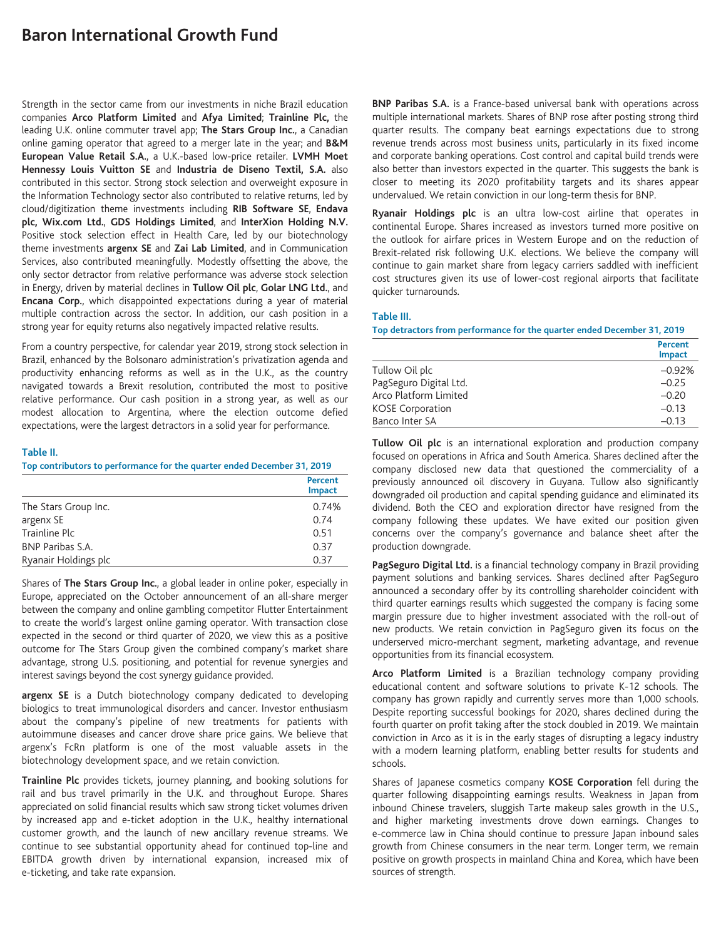# **Baron International Growth Fund**

Strength in the sector came from our investments in niche Brazil education companies **Arco Platform Limited** and **Afya Limited**; **Trainline Plc,** the leading U.K. online commuter travel app; **The Stars Group Inc.**, a Canadian online gaming operator that agreed to a merger late in the year; and **B&M European Value Retail S.A.**, a U.K.-based low-price retailer. **LVMH Moet Hennessy Louis Vuitton SE** and **Industria de Diseno Textil, S.A.** also contributed in this sector. Strong stock selection and overweight exposure in the Information Technology sector also contributed to relative returns, led by cloud/digitization theme investments including **RIB Software SE**, **Endava plc, Wix.com Ltd.**, **GDS Holdings Limited**, and **InterXion Holding N.V.** Positive stock selection effect in Health Care, led by our biotechnology theme investments **argenx SE** and **Zai Lab Limited**, and in Communication Services, also contributed meaningfully. Modestly offsetting the above, the only sector detractor from relative performance was adverse stock selection in Energy, driven by material declines in **Tullow Oil plc**, **Golar LNG Ltd.**, and **Encana Corp.**, which disappointed expectations during a year of material multiple contraction across the sector. In addition, our cash position in a strong year for equity returns also negatively impacted relative results.

From a country perspective, for calendar year 2019, strong stock selection in Brazil, enhanced by the Bolsonaro administration's privatization agenda and productivity enhancing reforms as well as in the U.K., as the country navigated towards a Brexit resolution, contributed the most to positive relative performance. Our cash position in a strong year, as well as our modest allocation to Argentina, where the election outcome defied expectations, were the largest detractors in a solid year for performance.

### **Table II.**

**Top contributors to performance for the quarter ended December 31, 2019**

|                         | Percent<br><b>Impact</b> |
|-------------------------|--------------------------|
| The Stars Group Inc.    | 0.74%                    |
| argenx SE               | 0.74                     |
| Trainline Plc           | 0.51                     |
| <b>BNP Paribas S.A.</b> | 0.37                     |
| Ryanair Holdings plc    | 0.37                     |

Shares of **The Stars Group Inc.**, a global leader in online poker, especially in Europe, appreciated on the October announcement of an all-share merger between the company and online gambling competitor Flutter Entertainment to create the world's largest online gaming operator. With transaction close expected in the second or third quarter of 2020, we view this as a positive outcome for The Stars Group given the combined company's market share advantage, strong U.S. positioning, and potential for revenue synergies and interest savings beyond the cost synergy guidance provided.

**argenx SE** is a Dutch biotechnology company dedicated to developing biologics to treat immunological disorders and cancer. Investor enthusiasm about the company's pipeline of new treatments for patients with autoimmune diseases and cancer drove share price gains. We believe that argenx's FcRn platform is one of the most valuable assets in the biotechnology development space, and we retain conviction.

**Trainline Plc** provides tickets, journey planning, and booking solutions for rail and bus travel primarily in the U.K. and throughout Europe. Shares appreciated on solid financial results which saw strong ticket volumes driven by increased app and e-ticket adoption in the U.K., healthy international customer growth, and the launch of new ancillary revenue streams. We continue to see substantial opportunity ahead for continued top-line and EBITDA growth driven by international expansion, increased mix of e-ticketing, and take rate expansion.

**BNP Paribas S.A.** is a France-based universal bank with operations across multiple international markets. Shares of BNP rose after posting strong third quarter results. The company beat earnings expectations due to strong revenue trends across most business units, particularly in its fixed income and corporate banking operations. Cost control and capital build trends were also better than investors expected in the quarter. This suggests the bank is closer to meeting its 2020 profitability targets and its shares appear undervalued. We retain conviction in our long-term thesis for BNP.

**Ryanair Holdings plc** is an ultra low-cost airline that operates in continental Europe. Shares increased as investors turned more positive on the outlook for airfare prices in Western Europe and on the reduction of Brexit-related risk following U.K. elections. We believe the company will continue to gain market share from legacy carriers saddled with inefficient cost structures given its use of lower-cost regional airports that facilitate quicker turnarounds.

#### **Table III.**

**Top detractors from performance for the quarter ended December 31, 2019**

|                         | <b>Percent</b><br><b>Impact</b> |
|-------------------------|---------------------------------|
| Tullow Oil plc          | $-0.92%$                        |
| PagSeguro Digital Ltd.  | $-0.25$                         |
| Arco Platform Limited   | $-0.20$                         |
| <b>KOSE Corporation</b> | $-0.13$                         |
| Banco Inter SA          | $-0.13$                         |

**Tullow Oil plc** is an international exploration and production company focused on operations in Africa and South America. Shares declined after the company disclosed new data that questioned the commerciality of a previously announced oil discovery in Guyana. Tullow also significantly downgraded oil production and capital spending guidance and eliminated its dividend. Both the CEO and exploration director have resigned from the company following these updates. We have exited our position given concerns over the company's governance and balance sheet after the production downgrade.

**PagSeguro Digital Ltd.** is a financial technology company in Brazil providing payment solutions and banking services. Shares declined after PagSeguro announced a secondary offer by its controlling shareholder coincident with third quarter earnings results which suggested the company is facing some margin pressure due to higher investment associated with the roll-out of new products. We retain conviction in PagSeguro given its focus on the underserved micro-merchant segment, marketing advantage, and revenue opportunities from its financial ecosystem.

**Arco Platform Limited** is a Brazilian technology company providing educational content and software solutions to private K-12 schools. The company has grown rapidly and currently serves more than 1,000 schools. Despite reporting successful bookings for 2020, shares declined during the fourth quarter on profit taking after the stock doubled in 2019. We maintain conviction in Arco as it is in the early stages of disrupting a legacy industry with a modern learning platform, enabling better results for students and schools.

Shares of Japanese cosmetics company **KOSE Corporation** fell during the quarter following disappointing earnings results. Weakness in Japan from inbound Chinese travelers, sluggish Tarte makeup sales growth in the U.S., and higher marketing investments drove down earnings. Changes to e-commerce law in China should continue to pressure Japan inbound sales growth from Chinese consumers in the near term. Longer term, we remain positive on growth prospects in mainland China and Korea, which have been sources of strength.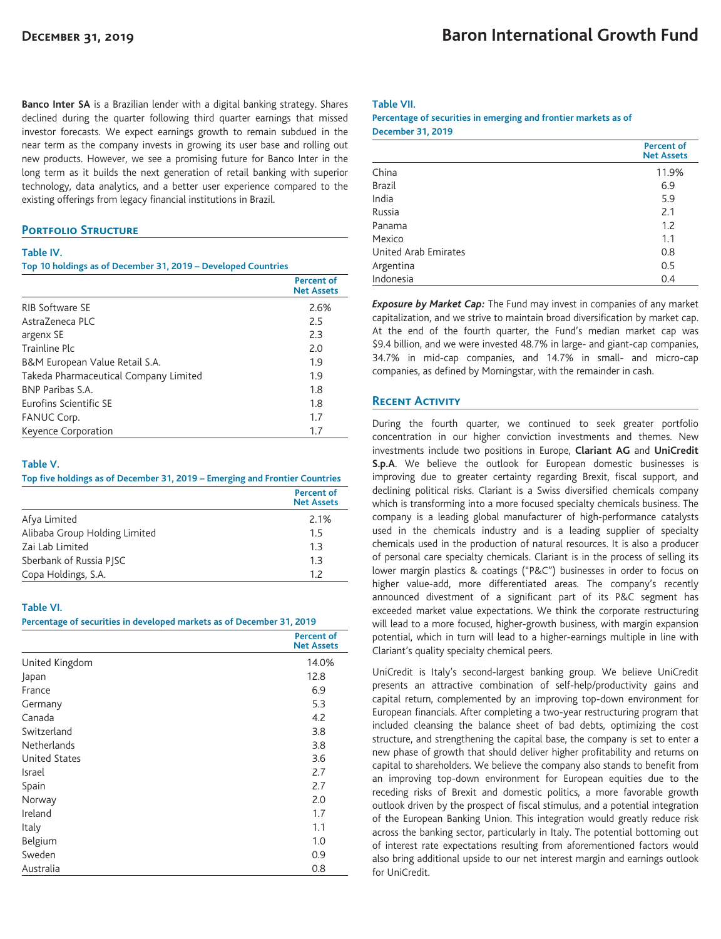**Banco Inter SA** is a Brazilian lender with a digital banking strategy. Shares declined during the quarter following third quarter earnings that missed investor forecasts. We expect earnings growth to remain subdued in the near term as the company invests in growing its user base and rolling out new products. However, we see a promising future for Banco Inter in the long term as it builds the next generation of retail banking with superior technology, data analytics, and a better user experience compared to the existing offerings from legacy financial institutions in Brazil.

# **PORTFOLIO STRUCTURE**

#### **Table IV.**

**Top 10 holdings as of December 31, 2019 – Developed Countries**

|                                       | <b>Percent of</b><br><b>Net Assets</b> |
|---------------------------------------|----------------------------------------|
| <b>RIB Software SE</b>                | 2.6%                                   |
| Astra7eneca PLC                       | 2.5                                    |
| argenx SE                             | 2.3                                    |
| Trainline Plc                         | 2.0                                    |
| B&M European Value Retail S.A.        | 1.9                                    |
| Takeda Pharmaceutical Company Limited | 1.9                                    |
| <b>BNP Paribas S.A.</b>               | 1.8                                    |
| <b>Furofins Scientific SF</b>         | 1.8                                    |
| FANUC Corp.                           | 1.7                                    |
| Keyence Corporation                   | 1.7                                    |

#### **Table V.**

**Top five holdings as of December 31, 2019 – Emerging and Frontier Countries**

|                               | <b>Percent of</b><br><b>Net Assets</b> |
|-------------------------------|----------------------------------------|
| Afya Limited                  | 2.1%                                   |
| Alibaba Group Holding Limited | 1.5                                    |
| Zai Lab Limited               | 1.3                                    |
| Sberbank of Russia PISC       | 1.3                                    |
| Copa Holdings, S.A.           | 1.7                                    |

#### **Table VI.**

**Percentage of securities in developed markets as of December 31, 2019**

|                      | <b>Percent of</b><br><b>Net Assets</b> |
|----------------------|----------------------------------------|
| United Kingdom       | 14.0%                                  |
| Japan                | 12.8                                   |
| France               | 6.9                                    |
| Germany              | 5.3                                    |
| Canada               | 4.2                                    |
| Switzerland          | 3.8                                    |
| <b>Netherlands</b>   | 3.8                                    |
| <b>United States</b> | 3.6                                    |
| Israel               | 2.7                                    |
| Spain                | 2.7                                    |
| Norway               | 2.0                                    |
| Ireland              | 1.7                                    |
| Italy                | 1.1                                    |
| Belgium              | 1.0                                    |
| Sweden               | 0.9                                    |
| Australia            | 0.8                                    |

### **Table VII.**

#### **Percentage of securities in emerging and frontier markets as of December 31, 2019**

|                      | <b>Percent of</b><br><b>Net Assets</b> |
|----------------------|----------------------------------------|
| China                | 11.9%                                  |
| <b>Brazil</b>        | 6.9                                    |
| India                | 5.9                                    |
| Russia               | 2.1                                    |
| Panama               | 1.2                                    |
| Mexico               | 1.1                                    |
| United Arab Emirates | 0.8                                    |
| Argentina            | 0.5                                    |
| Indonesia            | 0.4                                    |

*Exposure by Market Cap:* The Fund may invest in companies of any market capitalization, and we strive to maintain broad diversification by market cap. At the end of the fourth quarter, the Fund's median market cap was \$9.4 billion, and we were invested 48.7% in large- and giant-cap companies, 34.7% in mid-cap companies, and 14.7% in small- and micro-cap companies, as defined by Morningstar, with the remainder in cash.

## **Recent Activity**

During the fourth quarter, we continued to seek greater portfolio concentration in our higher conviction investments and themes. New investments include two positions in Europe, **Clariant AG** and **UniCredit S.p.A**. We believe the outlook for European domestic businesses is improving due to greater certainty regarding Brexit, fiscal support, and declining political risks. Clariant is a Swiss diversified chemicals company which is transforming into a more focused specialty chemicals business. The company is a leading global manufacturer of high-performance catalysts used in the chemicals industry and is a leading supplier of specialty chemicals used in the production of natural resources. It is also a producer of personal care specialty chemicals. Clariant is in the process of selling its lower margin plastics & coatings ("P&C") businesses in order to focus on higher value-add, more differentiated areas. The company's recently announced divestment of a significant part of its P&C segment has exceeded market value expectations. We think the corporate restructuring will lead to a more focused, higher-growth business, with margin expansion potential, which in turn will lead to a higher-earnings multiple in line with Clariant's quality specialty chemical peers.

UniCredit is Italy's second-largest banking group. We believe UniCredit presents an attractive combination of self-help/productivity gains and capital return, complemented by an improving top-down environment for European financials. After completing a two-year restructuring program that included cleansing the balance sheet of bad debts, optimizing the cost structure, and strengthening the capital base, the company is set to enter a new phase of growth that should deliver higher profitability and returns on capital to shareholders. We believe the company also stands to benefit from an improving top-down environment for European equities due to the receding risks of Brexit and domestic politics, a more favorable growth outlook driven by the prospect of fiscal stimulus, and a potential integration of the European Banking Union. This integration would greatly reduce risk across the banking sector, particularly in Italy. The potential bottoming out of interest rate expectations resulting from aforementioned factors would also bring additional upside to our net interest margin and earnings outlook for UniCredit.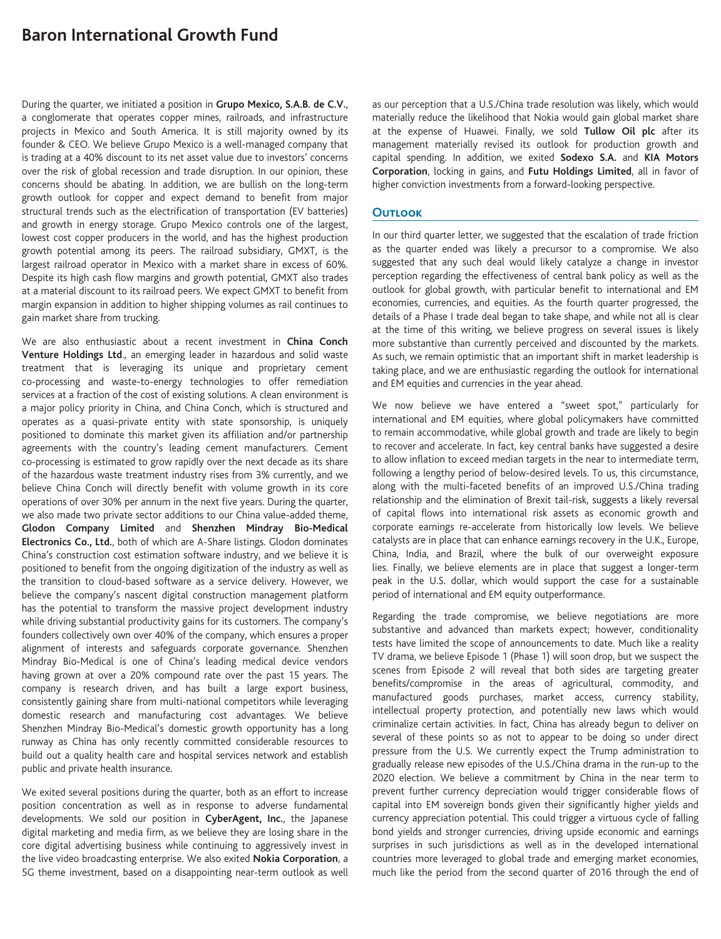# **Baron International Growth Fund**

During the quarter, we initiated a position in **Grupo Mexico, S.A.B. de C.V.**, a conglomerate that operates copper mines, railroads, and infrastructure projects in Mexico and South America. It is still majority owned by its founder & CEO. We believe Grupo Mexico is a well-managed company that is trading at a 40% discount to its net asset value due to investors' concerns over the risk of global recession and trade disruption. In our opinion, these concerns should be abating. In addition, we are bullish on the long-term growth outlook for copper and expect demand to benefit from major structural trends such as the electrification of transportation (EV batteries) and growth in energy storage. Grupo Mexico controls one of the largest, lowest cost copper producers in the world, and has the highest production growth potential among its peers. The railroad subsidiary, GMXT, is the largest railroad operator in Mexico with a market share in excess of 60%. Despite its high cash flow margins and growth potential, GMXT also trades at a material discount to its railroad peers. We expect GMXT to benefit from margin expansion in addition to higher shipping volumes as rail continues to gain market share from trucking.

We are also enthusiastic about a recent investment in **China Conch Venture Holdings Ltd**., an emerging leader in hazardous and solid waste treatment that is leveraging its unique and proprietary cement co-processing and waste-to-energy technologies to offer remediation services at a fraction of the cost of existing solutions. A clean environment is a major policy priority in China, and China Conch, which is structured and operates as a quasi-private entity with state sponsorship, is uniquely positioned to dominate this market given its affiliation and/or partnership agreements with the country's leading cement manufacturers. Cement co-processing is estimated to grow rapidly over the next decade as its share of the hazardous waste treatment industry rises from 3% currently, and we believe China Conch will directly benefit with volume growth in its core operations of over 30% per annum in the next five years. During the quarter, we also made two private sector additions to our China value-added theme, **Glodon Company Limited** and **Shenzhen Mindray Bio-Medical Electronics Co., Ltd.**, both of which are A-Share listings. Glodon dominates China's construction cost estimation software industry, and we believe it is positioned to benefit from the ongoing digitization of the industry as well as the transition to cloud-based software as a service delivery. However, we believe the company's nascent digital construction management platform has the potential to transform the massive project development industry while driving substantial productivity gains for its customers. The company's founders collectively own over 40% of the company, which ensures a proper alignment of interests and safeguards corporate governance. Shenzhen Mindray Bio-Medical is one of China's leading medical device vendors having grown at over a 20% compound rate over the past 15 years. The company is research driven, and has built a large export business, consistently gaining share from multi-national competitors while leveraging domestic research and manufacturing cost advantages. We believe Shenzhen Mindray Bio-Medical's domestic growth opportunity has a long runway as China has only recently committed considerable resources to build out a quality health care and hospital services network and establish public and private health insurance.

We exited several positions during the quarter, both as an effort to increase position concentration as well as in response to adverse fundamental developments. We sold our position in **CyberAgent, Inc.**, the Japanese digital marketing and media firm, as we believe they are losing share in the core digital advertising business while continuing to aggressively invest in the live video broadcasting enterprise. We also exited **Nokia Corporation**, a 5G theme investment, based on a disappointing near-term outlook as well as our perception that a U.S./China trade resolution was likely, which would materially reduce the likelihood that Nokia would gain global market share at the expense of Huawei. Finally, we sold **Tullow Oil plc** after its management materially revised its outlook for production growth and capital spending. In addition, we exited **Sodexo S.A.** and **KIA Motors Corporation**, locking in gains, and **Futu Holdings Limited**, all in favor of higher conviction investments from a forward-looking perspective.

# **Outlook**

In our third quarter letter, we suggested that the escalation of trade friction as the quarter ended was likely a precursor to a compromise. We also suggested that any such deal would likely catalyze a change in investor perception regarding the effectiveness of central bank policy as well as the outlook for global growth, with particular benefit to international and EM economies, currencies, and equities. As the fourth quarter progressed, the details of a Phase I trade deal began to take shape, and while not all is clear at the time of this writing, we believe progress on several issues is likely more substantive than currently perceived and discounted by the markets. As such, we remain optimistic that an important shift in market leadership is taking place, and we are enthusiastic regarding the outlook for international and EM equities and currencies in the year ahead.

We now believe we have entered a "sweet spot," particularly for international and EM equities, where global policymakers have committed to remain accommodative, while global growth and trade are likely to begin to recover and accelerate. In fact, key central banks have suggested a desire to allow inflation to exceed median targets in the near to intermediate term, following a lengthy period of below-desired levels. To us, this circumstance, along with the multi-faceted benefits of an improved U.S./China trading relationship and the elimination of Brexit tail-risk, suggests a likely reversal of capital flows into international risk assets as economic growth and corporate earnings re-accelerate from historically low levels. We believe catalysts are in place that can enhance earnings recovery in the U.K., Europe, China, India, and Brazil, where the bulk of our overweight exposure lies. Finally, we believe elements are in place that suggest a longer-term peak in the U.S. dollar, which would support the case for a sustainable period of international and EM equity outperformance.

Regarding the trade compromise, we believe negotiations are more substantive and advanced than markets expect; however, conditionality tests have limited the scope of announcements to date. Much like a reality TV drama, we believe Episode 1 (Phase 1) will soon drop, but we suspect the scenes from Episode 2 will reveal that both sides are targeting greater benefits/compromise in the areas of agricultural, commodity, and manufactured goods purchases, market access, currency stability, intellectual property protection, and potentially new laws which would criminalize certain activities. In fact, China has already begun to deliver on several of these points so as not to appear to be doing so under direct pressure from the U.S. We currently expect the Trump administration to gradually release new episodes of the U.S./China drama in the run-up to the 2020 election. We believe a commitment by China in the near term to prevent further currency depreciation would trigger considerable flows of capital into EM sovereign bonds given their significantly higher yields and currency appreciation potential. This could trigger a virtuous cycle of falling bond yields and stronger currencies, driving upside economic and earnings surprises in such jurisdictions as well as in the developed international countries more leveraged to global trade and emerging market economies, much like the period from the second quarter of 2016 through the end of